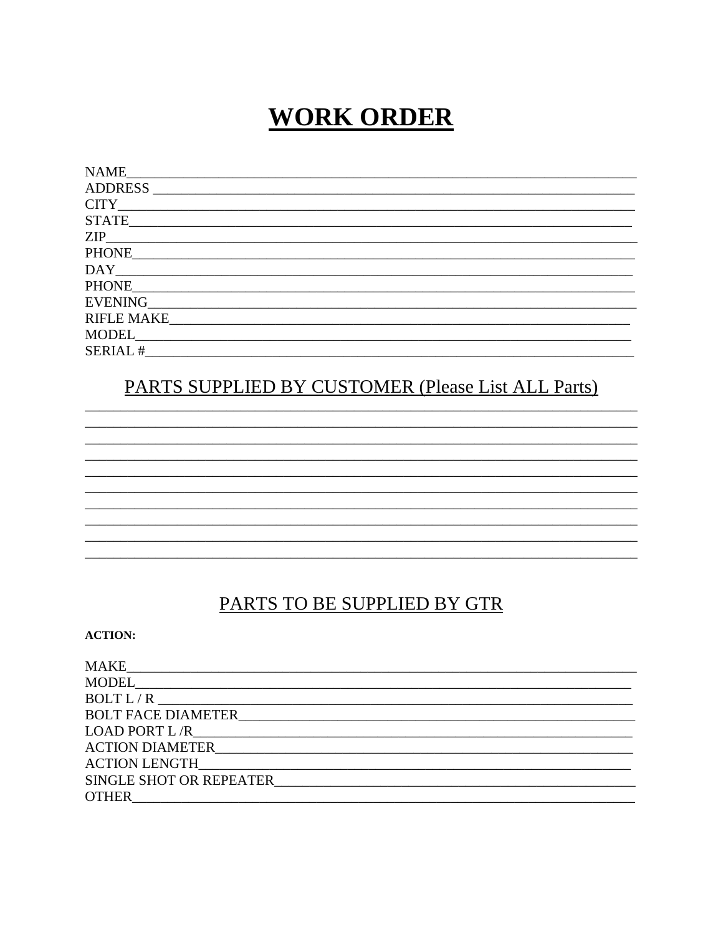# **WORK ORDER**

| <b>NAME</b>       |
|-------------------|
| <b>ADDRESS</b>    |
| <b>CITY</b>       |
| <b>STATE</b>      |
| <b>ZIP</b>        |
| <b>PHONE</b>      |
| DAY               |
| <b>PHONE</b>      |
| <b>EVENING</b>    |
| <b>RIFLE MAKE</b> |
| MODEL             |
| <b>SERIAL#</b>    |

## PARTS SUPPLIED BY CUSTOMER (Please List ALL Parts)

### PARTS TO BE SUPPLIED BY GTR

**ACTION:** 

| <b>ACTION DIAMETER</b> ACTION OF A SERIES AND THE SERIES OF A SERIES OF A SERIES OF A SERIES OF A SERIES OF A SERIES OF A SERIES OF A SERIES OF A SERIES OF A SERIES OF A SERIES OF A SERIES OF A SERIES OF A SERIES OF A SERIES OF |
|-------------------------------------------------------------------------------------------------------------------------------------------------------------------------------------------------------------------------------------|
|                                                                                                                                                                                                                                     |
| SINGLE SHOT OR REPEATER <b>SINGLE SHOT OR REPEATER</b>                                                                                                                                                                              |
| <b>OTHER</b>                                                                                                                                                                                                                        |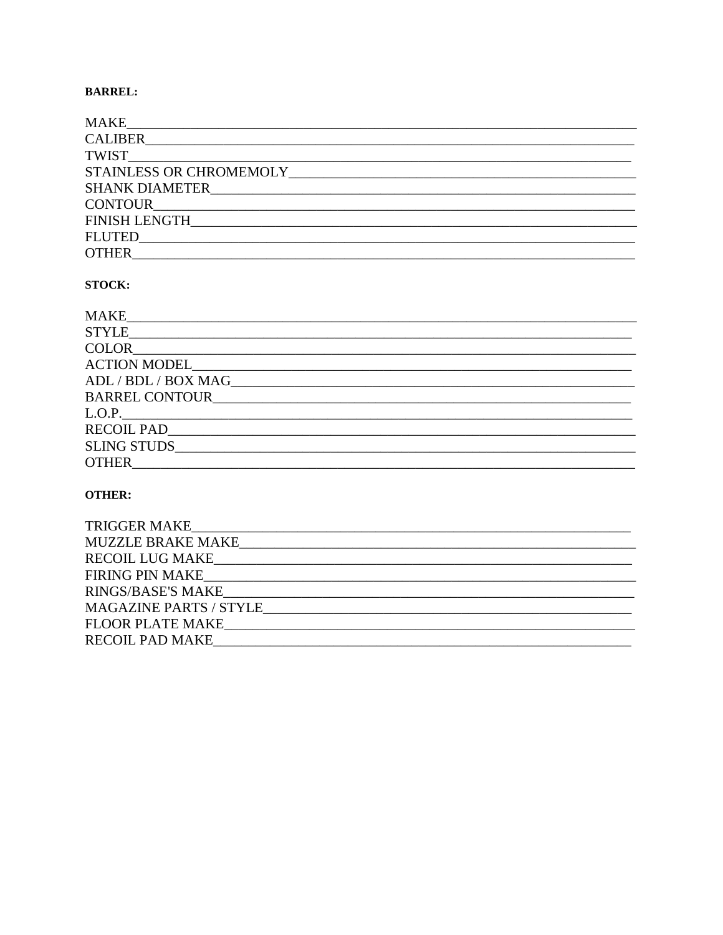### **BARREL:**

| <b>MAKE</b>                  |
|------------------------------|
|                              |
|                              |
|                              |
|                              |
|                              |
| FINISH LENGTH                |
| FLUTED TELEVISION CONTINUES. |
| <b>OTHER</b>                 |

#### STOCK:

| <b>MAKE</b>                                                                                                                                                                                                                    |
|--------------------------------------------------------------------------------------------------------------------------------------------------------------------------------------------------------------------------------|
|                                                                                                                                                                                                                                |
| <b>COLOR</b>                                                                                                                                                                                                                   |
| ACTION MODEL ACTION                                                                                                                                                                                                            |
| ADL / BDL / BOX MAG                                                                                                                                                                                                            |
| BARREL CONTOUR THE STATE OF THE STATE OF THE STATE OF THE STATE OF THE STATE OF THE STATE OF THE STATE OF THE STATE OF THE STATE OF THE STATE OF THE STATE OF THE STATE OF THE STATE OF THE STATE OF THE STATE OF THE STATE OF |
| L.O.P.                                                                                                                                                                                                                         |
| RECOIL PAD                                                                                                                                                                                                                     |
| SLING STUDS                                                                                                                                                                                                                    |
| <b>OTHER</b>                                                                                                                                                                                                                   |

### **OTHER:**

| TRIGGER MAKE                  |
|-------------------------------|
| MUZZLE BRAKE MAKE             |
| <b>RECOIL LUG MAKE_</b>       |
| <b>FIRING PIN MAKE</b>        |
| RINGS/BASE'S MAKE             |
| <b>MAGAZINE PARTS / STYLE</b> |
| FLOOR PLATE MAKE              |
| <b>RECOIL PAD MAKE</b>        |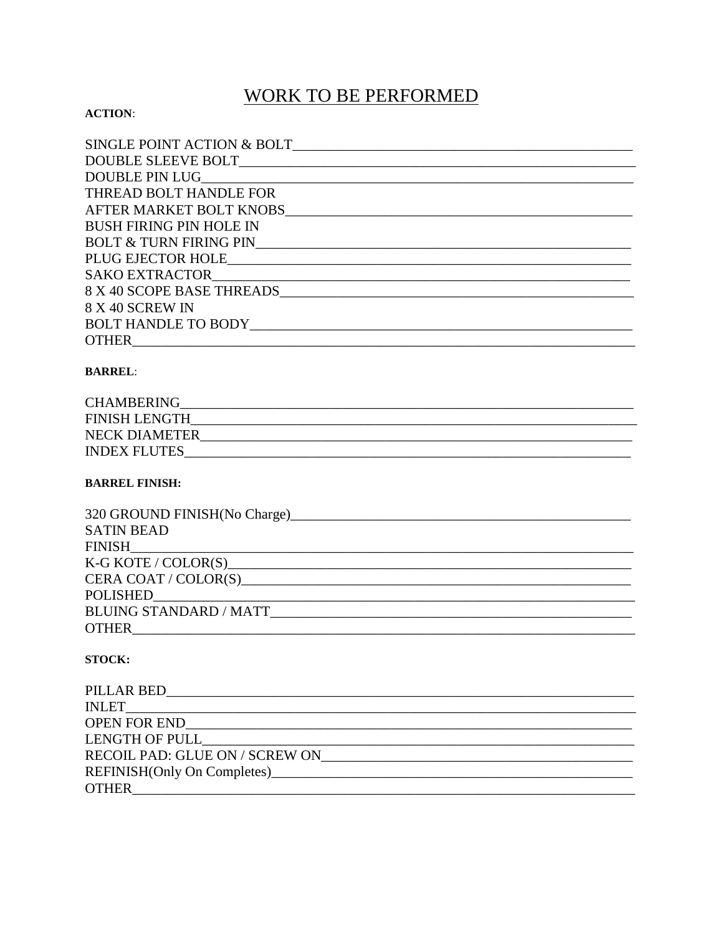## **WORK TO BE PERFORMED**

### **ACTION:**

| SINGLE POINT ACTION & BOLT     |
|--------------------------------|
|                                |
|                                |
| THREAD BOLT HANDLE FOR         |
| AFTER MARKET BOLT KNOBS        |
| <b>BUSH FIRING PIN HOLE IN</b> |
|                                |
|                                |
| SAKO EXTRACTOR SAKO EXTRACTOR  |
| 8 X 40 SCOPE BASE THREADS      |
| 8 X 40 SCREW IN                |
| BOLT HANDLE TO BODY            |
| <b>OTHER</b>                   |

### **BARREL:**

| <b>CHAMBERING</b>    |  |
|----------------------|--|
| <b>FINISH LENGTH</b> |  |
| <b>NECK DIAMETER</b> |  |
| <b>INDEX FLUTES</b>  |  |

### **BARREL FINISH:**

| <b>SATIN BEAD</b>                                                                                                                |
|----------------------------------------------------------------------------------------------------------------------------------|
| FINISH                                                                                                                           |
| $K-G KOTE / COLOR(S)$                                                                                                            |
|                                                                                                                                  |
|                                                                                                                                  |
|                                                                                                                                  |
| <b>OTHER</b><br>and the control of the control of the control of the control of the control of the control of the control of the |

### **STOCK:**

| RECOIL PAD: GLUE ON / SCREW ON |
|--------------------------------|
|                                |
| <b>OTHER</b>                   |